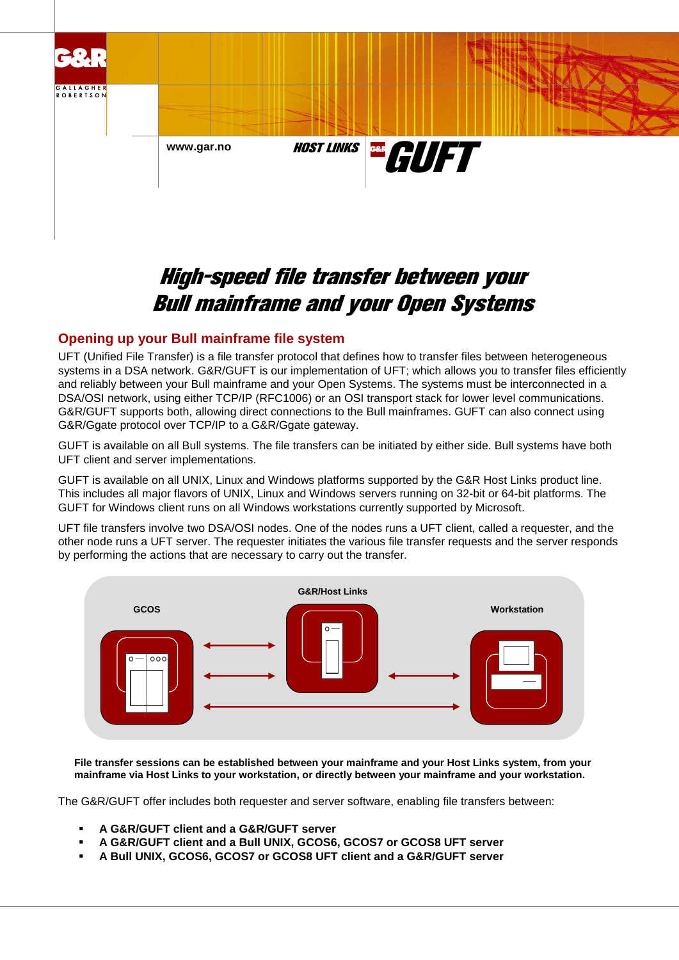

# High-speed file transfer between your Bull mainframe and your Open Systems

## **Opening up your Bull mainframe file system**

UFT (Unified File Transfer) is a file transfer protocol that defines how to transfer files between heterogeneous systems in a DSA network. G&R/GUFT is our implementation of UFT; which allows you to transfer files efficiently and reliably between your Bull mainframe and your Open Systems. The systems must be interconnected in a DSA/OSI network, using either TCP/IP (RFC1006) or an OSI transport stack for lower level communications. G&R/GUFT supports both, allowing direct connections to the Bull mainframes. GUFT can also connect using G&R/Ggate protocol over TCP/IP to a G&R/Ggate gateway.

GUFT is available on all Bull systems. The file transfers can be initiated by either side. Bull systems have both UFT client and server implementations.

GUFT is available on all UNIX, Linux and Windows platforms supported by the G&R Host Links product line. This includes all major flavors of UNIX, Linux and Windows servers running on 32-bit or 64-bit platforms. The GUFT for Windows client runs on all Windows workstations currently supported by Microsoft.

UFT file transfers involve two DSA/OSI nodes. One of the nodes runs a UFT client, called a requester, and the other node runs a UFT server. The requester initiates the various file transfer requests and the server responds by performing the actions that are necessary to carry out the transfer.



**File transfer sessions can be established between your mainframe and your Host Links system, from your mainframe via Host Links to your workstation, or directly between your mainframe and your workstation.**

The G&R/GUFT offer includes both requester and server software, enabling file transfers between:

- **A G&R/GUFT client and a G&R/GUFT server**
- **A G&R/GUFT client and a Bull UNIX, GCOS6, GCOS7 or GCOS8 UFT server**
- **A Bull UNIX, GCOS6, GCOS7 or GCOS8 UFT client and a G&R/GUFT server**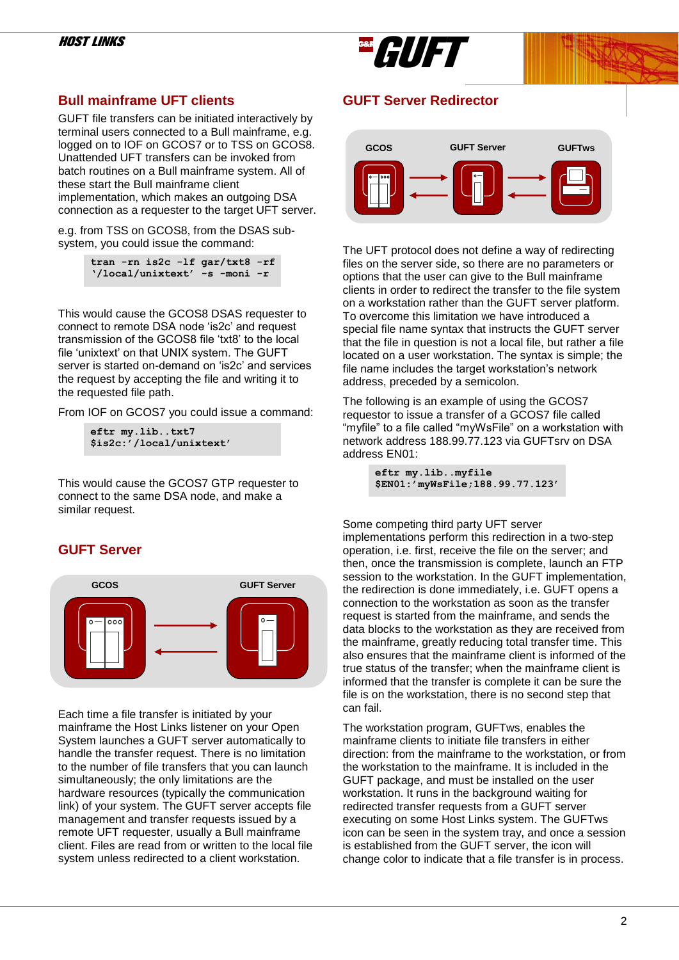

## **Bull mainframe UFT clients**

GUFT file transfers can be initiated interactively by terminal users connected to a Bull mainframe, e.g. logged on to IOF on GCOS7 or to TSS on GCOS8. Unattended UFT transfers can be invoked from batch routines on a Bull mainframe system. All of these start the Bull mainframe client implementation, which makes an outgoing DSA connection as a requester to the target UFT server.

e.g. from TSS on GCOS8, from the DSAS subsystem, you could issue the command:

|  |  | tran $-rn$ is $2c -lf$ $qar/txt8 - rf$ |  |
|--|--|----------------------------------------|--|
|  |  | '/local/unixtext' -s -moni -r          |  |

This would cause the GCOS8 DSAS requester to connect to remote DSA node 'is2c' and request transmission of the GCOS8 file 'txt8' to the local file 'unixtext' on that UNIX system. The GUFT server is started on-demand on 'is2c' and services the request by accepting the file and writing it to the requested file path.

From IOF on GCOS7 you could issue a command:

```
eftr my.lib..txt7
$is2c:'/local/unixtext'
```
This would cause the GCOS7 GTP requester to connect to the same DSA node, and make a similar request.

## **GUFT Server**



Each time a file transfer is initiated by your mainframe the Host Links listener on your Open System launches a GUFT server automatically to handle the transfer request. There is no limitation to the number of file transfers that you can launch simultaneously; the only limitations are the hardware resources (typically the communication link) of your system. The GUFT server accepts file management and transfer requests issued by a remote UFT requester, usually a Bull mainframe client. Files are read from or written to the local file system unless redirected to a client workstation.

## **GUFT Server Redirector**



The UFT protocol does not define a way of redirecting files on the server side, so there are no parameters or options that the user can give to the Bull mainframe clients in order to redirect the transfer to the file system on a workstation rather than the GUFT server platform. To overcome this limitation we have introduced a special file name syntax that instructs the GUFT server that the file in question is not a local file, but rather a file located on a user workstation. The syntax is simple; the file name includes the target workstation's network address, preceded by a semicolon.

The following is an example of using the GCOS7 requestor to issue a transfer of a GCOS7 file called "myfile" to a file called "myWsFile" on a workstation with network address 188.99.77.123 via GUFTsrv on DSA address EN01:

> **eftr my.lib..myfile \$EN01:'myWsFile;188.99.77.123'**

Some competing third party UFT server implementations perform this redirection in a two-step operation, i.e. first, receive the file on the server; and then, once the transmission is complete, launch an FTP session to the workstation. In the GUFT implementation, the redirection is done immediately, i.e. GUFT opens a connection to the workstation as soon as the transfer request is started from the mainframe, and sends the data blocks to the workstation as they are received from the mainframe, greatly reducing total transfer time. This also ensures that the mainframe client is informed of the true status of the transfer; when the mainframe client is informed that the transfer is complete it can be sure the file is on the workstation, there is no second step that can fail.

The workstation program, GUFTws, enables the mainframe clients to initiate file transfers in either direction: from the mainframe to the workstation, or from the workstation to the mainframe. It is included in the GUFT package, and must be installed on the user workstation. It runs in the background waiting for redirected transfer requests from a GUFT server executing on some Host Links system. The GUFTws icon can be seen in the system tray, and once a session is established from the GUFT server, the icon will change color to indicate that a file transfer is in process.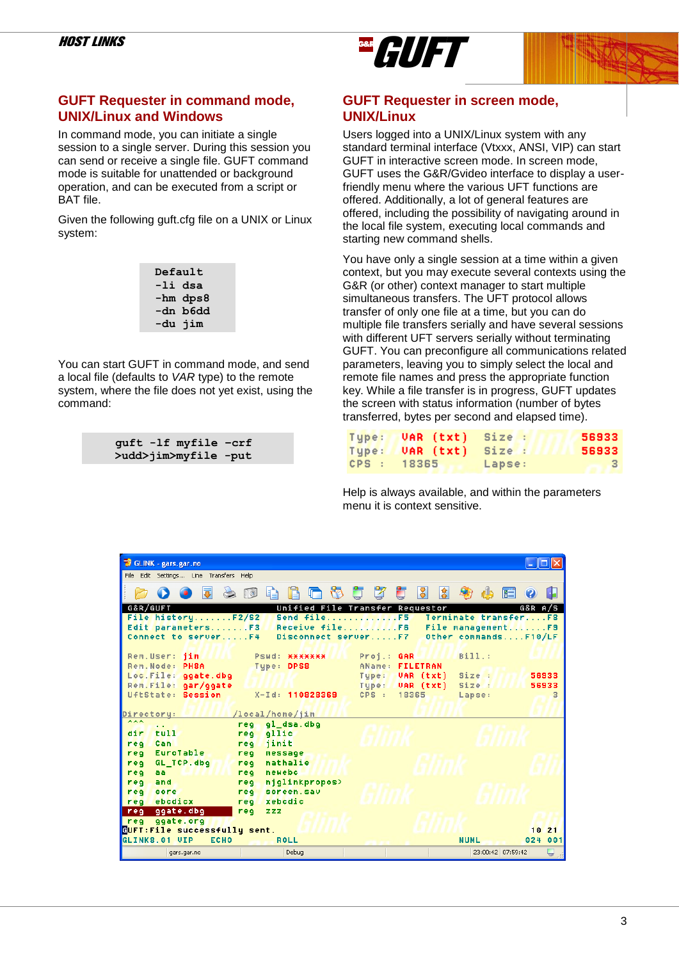## **GUFT Requester in command mode, UNIX/Linux and Windows**

In command mode, you can initiate a single session to a single server. During this session you can send or receive a single file. GUFT command mode is suitable for unattended or background operation, and can be executed from a script or BAT file.

Given the following guft.cfg file on a UNIX or Linux system:

| Default |          |  |
|---------|----------|--|
| -li dsa |          |  |
|         | -hm dps8 |  |
|         | -dn b6dd |  |
| -du jim |          |  |

You can start GUFT in command mode, and send a local file (defaults to *VAR* type) to the remote system, where the file does not yet exist, using the command:

|  | guft -lf myfile -crf |  |
|--|----------------------|--|
|  | >udd>jim>myfile -put |  |



GAR **FILIFT** 

Users logged into a UNIX/Linux system with any standard terminal interface (Vtxxx, ANSI, VIP) can start GUFT in interactive screen mode. In screen mode, GUFT uses the G&R/Gvideo interface to display a userfriendly menu where the various UFT functions are offered. Additionally, a lot of general features are offered, including the possibility of navigating around in the local file system, executing local commands and starting new command shells.

You have only a single session at a time within a given context, but you may execute several contexts using the G&R (or other) context manager to start multiple simultaneous transfers. The UFT protocol allows transfer of only one file at a time, but you can do multiple file transfers serially and have several sessions with different UFT servers serially without terminating GUFT. You can preconfigure all communications related parameters, leaving you to simply select the local and remote file names and press the appropriate function key. While a file transfer is in progress, GUFT updates the screen with status information (number of bytes transferred, bytes per second and elapsed time).

| Type:       | VAR (txt) Size : |        | 56933 |
|-------------|------------------|--------|-------|
| Tupe:       | VAR (txt) Size : |        | 56933 |
| CPS : 18365 |                  | Lapse: | -3-   |

Help is always available, and within the parameters menu it is context sensitive.

| GLINK - gars.gar.no                                                          |                                                             |
|------------------------------------------------------------------------------|-------------------------------------------------------------|
| File Edit Settings Line Transfers Help                                       |                                                             |
| 同<br>$A \n 1$                                                                | d d d d<br> 3 <br>倉<br>H<br>Ø<br>$E =$                      |
| <b>G&amp;R/GUFT</b>                                                          | Unified File Transfer Requestor<br>A/S<br>G&R               |
| File historyF2/S2<br>Send fileF5                                             | Terminate transferF8                                        |
| Edit parametersF3                                                            | Receive fileF6 File managementF9                            |
| Connect to serverF4                                                          | Disconnect serverF7 Other commandsF10/LF                    |
|                                                                              |                                                             |
| Rem.User: jim<br>Pswd: *******                                               | Bill:<br>$Proof.:$ GAR                                      |
| Rem. Node: PH8A<br>Tupe: DPS8                                                | AName: FILETRAN                                             |
| Loc. File: ggate.dbg                                                         | Tupe:<br>Size :<br>56933<br>UAR (txt)                       |
| Rem. File: gar/ggate<br>UftState: Session<br>X-Id: 110828369                 | Type: <b>VAR</b> (txt)<br>Size:<br>56933<br>CPS: 18365<br>3 |
|                                                                              | Lapse:                                                      |
| /local/home/jim<br>Directory:                                                |                                                             |
| ***<br>gl dsa.dbg<br>rea.<br>$\sim$ $\sim$                                   |                                                             |
| tull<br>dir<br>qllic<br>req                                                  |                                                             |
| Can<br>jinit<br>rea<br>req                                                   |                                                             |
| EuroTable<br>reg<br>message<br>reg                                           |                                                             |
| nathalie<br>GL_TCP.dbg<br>rea<br>rea                                         |                                                             |
| newebc<br>reg<br>rea<br>aa.                                                  |                                                             |
| njqlinkpropos><br>req<br>and<br>rea                                          |                                                             |
| screen.sav<br>req<br>core<br>req                                             |                                                             |
| ebcdicx<br>xebcdic<br>req<br>rea                                             |                                                             |
| ggate.dbg<br>req<br>req<br>zzz                                               |                                                             |
| ggate.org<br>req                                                             |                                                             |
| GUFT: File successfully sent.<br>GLINKS.01 UIP<br><b>ECHO</b><br><b>ROLL</b> | 1021<br>001<br><b>NUML</b><br>024                           |
|                                                                              |                                                             |
| Debug<br>gars.gar.no                                                         | Ų<br>23:00:42 07:59:42                                      |